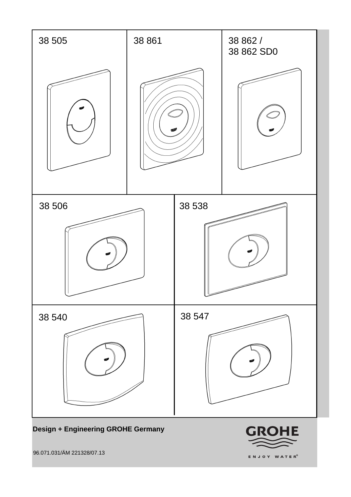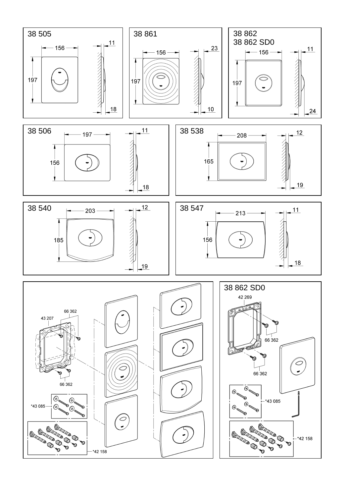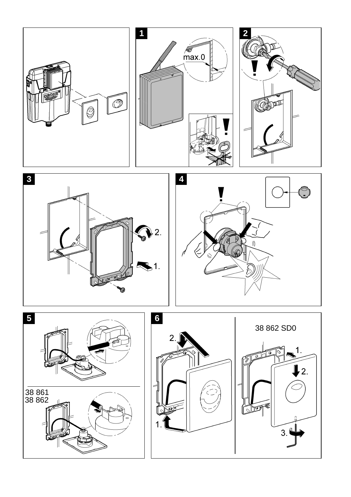







 $\bigodot$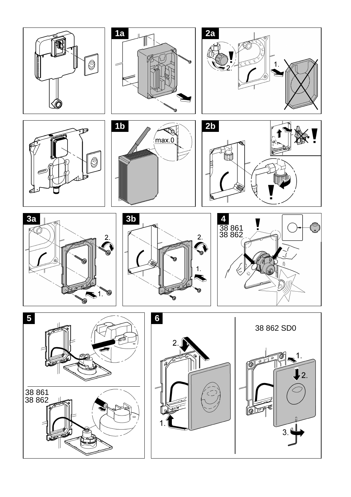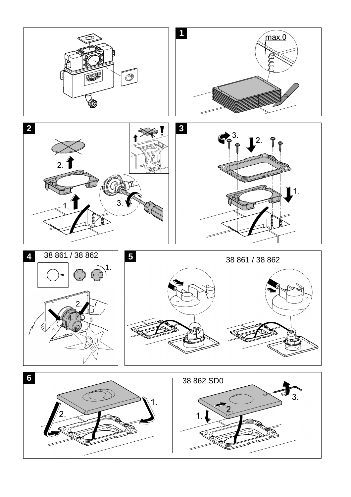